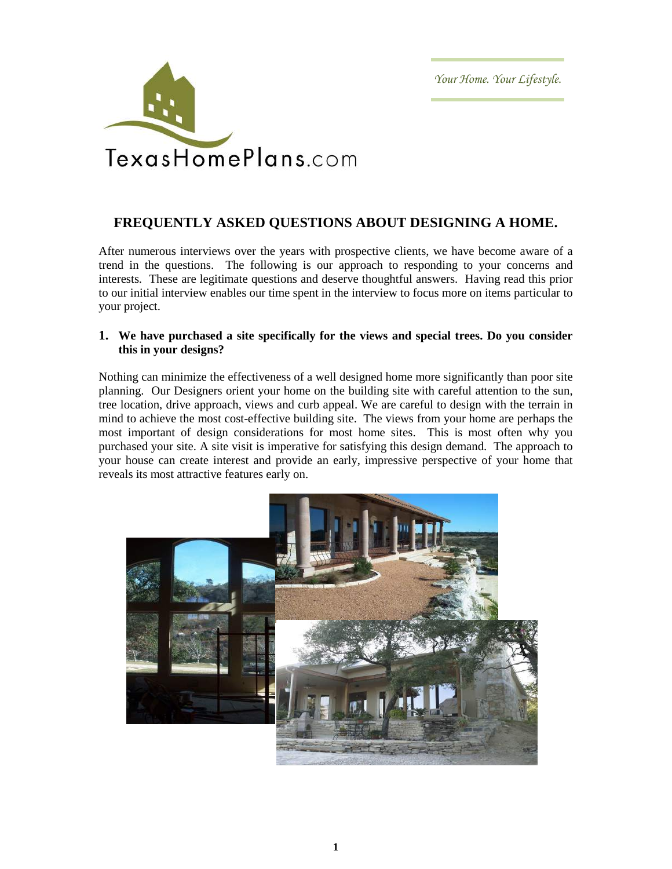Your Home. Your Lifestyle.



# **FREQUENTLY ASKED QUESTIONS ABOUT DESIGNING A HOME.**

After numerous interviews over the years with prospective clients, we have become aware of a trend in the questions. The following is our approach to responding to your concerns and interests. These are legitimate questions and deserve thoughtful answers. Having read this prior to our initial interview enables our time spent in the interview to focus more on items particular to your project.

## **1. We have purchased a site specifically for the views and special trees. Do you consider this in your designs?**

Nothing can minimize the effectiveness of a well designed home more significantly than poor site planning. Our Designers orient your home on the building site with careful attention to the sun, tree location, drive approach, views and curb appeal. We are careful to design with the terrain in mind to achieve the most cost-effective building site. The views from your home are perhaps the most important of design considerations for most home sites. This is most often why you purchased your site. A site visit is imperative for satisfying this design demand. The approach to your house can create interest and provide an early, impressive perspective of your home that reveals its most attractive features early on.

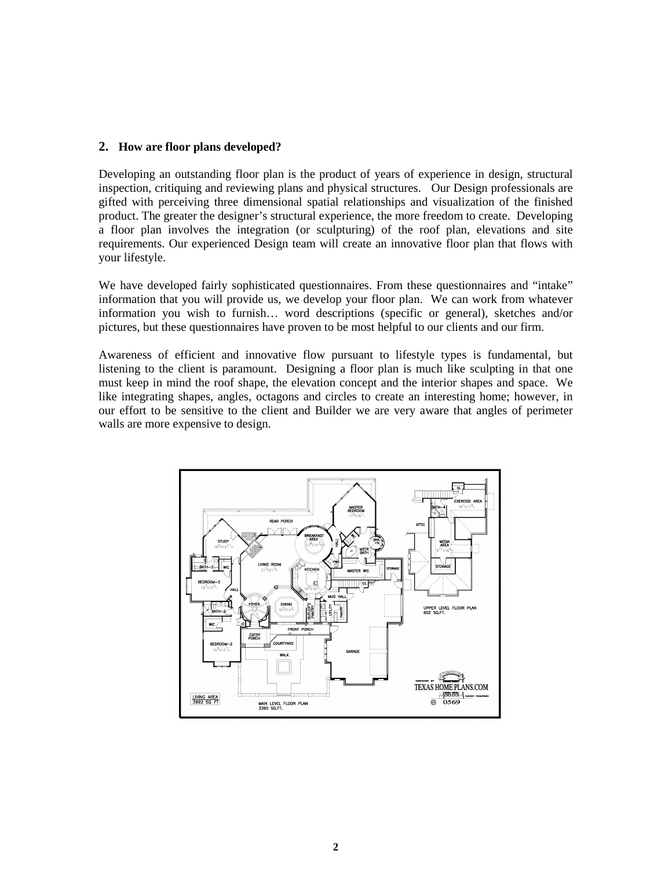#### **2. How are floor plans developed?**

Developing an outstanding floor plan is the product of years of experience in design, structural inspection, critiquing and reviewing plans and physical structures. Our Design professionals are gifted with perceiving three dimensional spatial relationships and visualization of the finished product. The greater the designer's structural experience, the more freedom to create. Developing a floor plan involves the integration (or sculpturing) of the roof plan, elevations and site requirements. Our experienced Design team will create an innovative floor plan that flows with your lifestyle.

We have developed fairly sophisticated questionnaires. From these questionnaires and "intake" information that you will provide us, we develop your floor plan. We can work from whatever information you wish to furnish… word descriptions (specific or general), sketches and/or pictures, but these questionnaires have proven to be most helpful to our clients and our firm.

Awareness of efficient and innovative flow pursuant to lifestyle types is fundamental, but listening to the client is paramount. Designing a floor plan is much like sculpting in that one must keep in mind the roof shape, the elevation concept and the interior shapes and space. We like integrating shapes, angles, octagons and circles to create an interesting home; however, in our effort to be sensitive to the client and Builder we are very aware that angles of perimeter walls are more expensive to design.

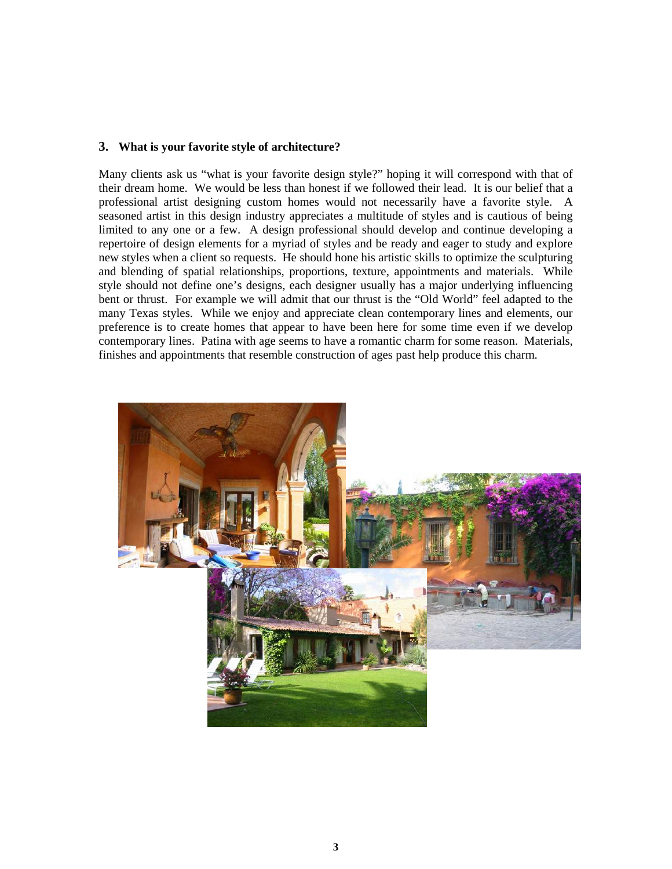#### **3. What is your favorite style of architecture?**

Many clients ask us "what is your favorite design style?" hoping it will correspond with that of their dream home. We would be less than honest if we followed their lead. It is our belief that a professional artist designing custom homes would not necessarily have a favorite style. A seasoned artist in this design industry appreciates a multitude of styles and is cautious of being limited to any one or a few. A design professional should develop and continue developing a repertoire of design elements for a myriad of styles and be ready and eager to study and explore new styles when a client so requests. He should hone his artistic skills to optimize the sculpturing and blending of spatial relationships, proportions, texture, appointments and materials. While style should not define one's designs, each designer usually has a major underlying influencing bent or thrust. For example we will admit that our thrust is the "Old World" feel adapted to the many Texas styles. While we enjoy and appreciate clean contemporary lines and elements, our preference is to create homes that appear to have been here for some time even if we develop contemporary lines. Patina with age seems to have a romantic charm for some reason. Materials, finishes and appointments that resemble construction of ages past help produce this charm.

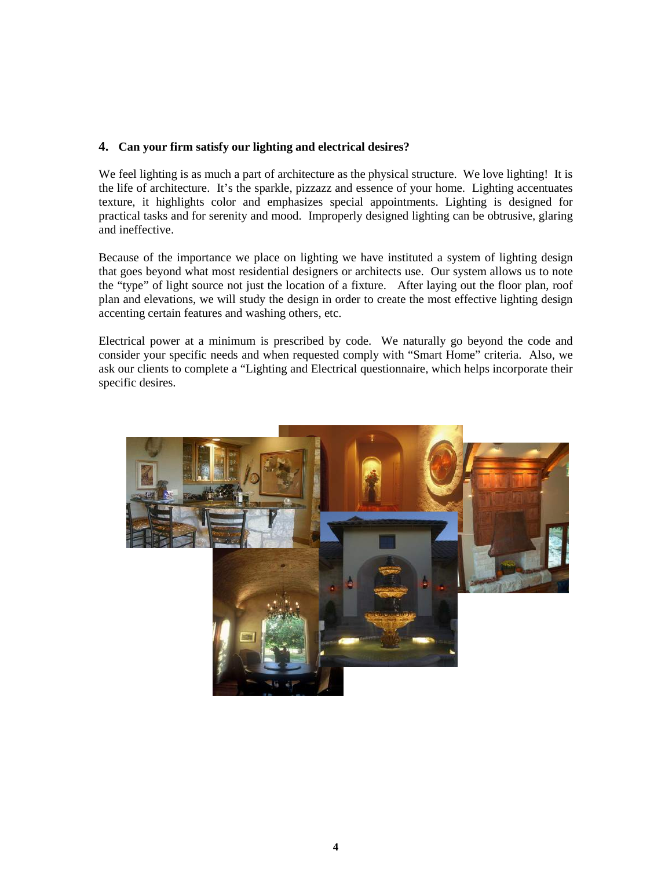## **4. Can your firm satisfy our lighting and electrical desires?**

We feel lighting is as much a part of architecture as the physical structure. We love lighting! It is the life of architecture. It's the sparkle, pizzazz and essence of your home. Lighting accentuates texture, it highlights color and emphasizes special appointments. Lighting is designed for practical tasks and for serenity and mood. Improperly designed lighting can be obtrusive, glaring and ineffective.

Because of the importance we place on lighting we have instituted a system of lighting design that goes beyond what most residential designers or architects use. Our system allows us to note the "type" of light source not just the location of a fixture. After laying out the floor plan, roof plan and elevations, we will study the design in order to create the most effective lighting design accenting certain features and washing others, etc.

Electrical power at a minimum is prescribed by code. We naturally go beyond the code and consider your specific needs and when requested comply with "Smart Home" criteria. Also, we ask our clients to complete a "Lighting and Electrical questionnaire, which helps incorporate their specific desires.

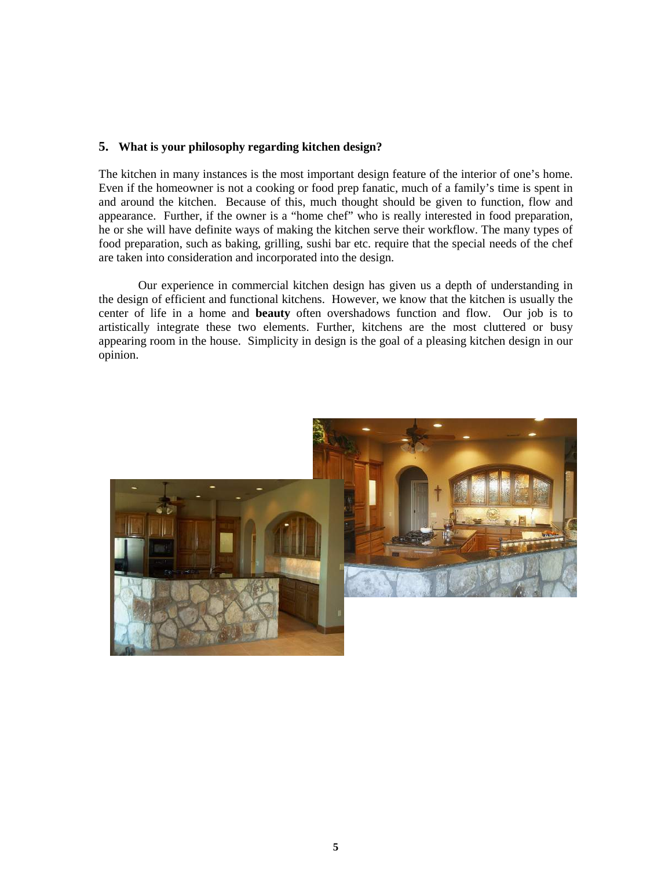## **5. What is your philosophy regarding kitchen design?**

The kitchen in many instances is the most important design feature of the interior of one's home. Even if the homeowner is not a cooking or food prep fanatic, much of a family's time is spent in and around the kitchen. Because of this, much thought should be given to function, flow and appearance. Further, if the owner is a "home chef" who is really interested in food preparation, he or she will have definite ways of making the kitchen serve their workflow. The many types of food preparation, such as baking, grilling, sushi bar etc. require that the special needs of the chef are taken into consideration and incorporated into the design.

 Our experience in commercial kitchen design has given us a depth of understanding in the design of efficient and functional kitchens. However, we know that the kitchen is usually the center of life in a home and **beauty** often overshadows function and flow. Our job is to artistically integrate these two elements. Further, kitchens are the most cluttered or busy appearing room in the house. Simplicity in design is the goal of a pleasing kitchen design in our opinion.

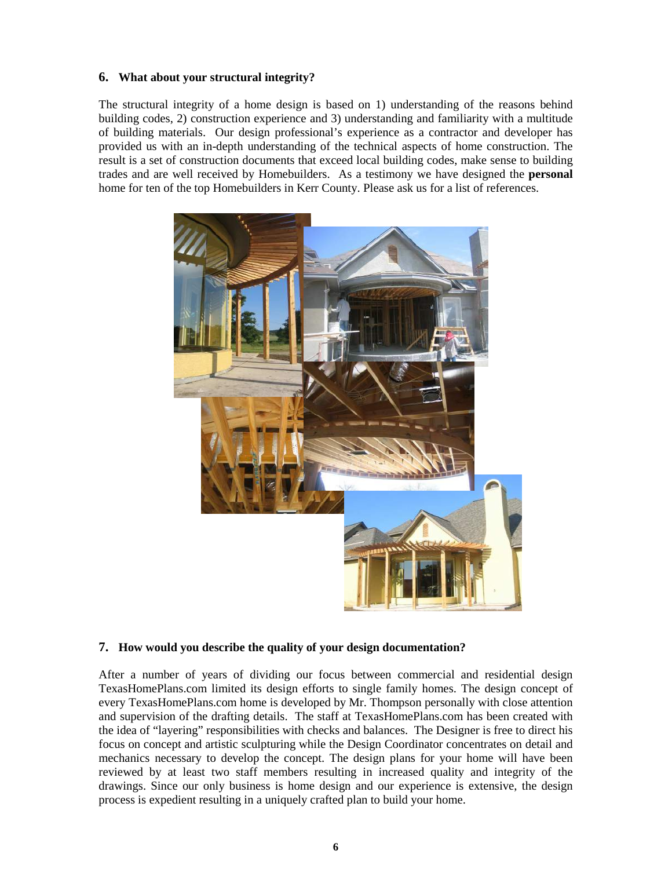## **6. What about your structural integrity?**

The structural integrity of a home design is based on 1) understanding of the reasons behind building codes, 2) construction experience and 3) understanding and familiarity with a multitude of building materials. Our design professional's experience as a contractor and developer has provided us with an in-depth understanding of the technical aspects of home construction. The result is a set of construction documents that exceed local building codes, make sense to building trades and are well received by Homebuilders. As a testimony we have designed the **personal** home for ten of the top Homebuilders in Kerr County. Please ask us for a list of references.



#### **7. How would you describe the quality of your design documentation?**

After a number of years of dividing our focus between commercial and residential design TexasHomePlans.com limited its design efforts to single family homes. The design concept of every TexasHomePlans.com home is developed by Mr. Thompson personally with close attention and supervision of the drafting details. The staff at TexasHomePlans.com has been created with the idea of "layering" responsibilities with checks and balances. The Designer is free to direct his focus on concept and artistic sculpturing while the Design Coordinator concentrates on detail and mechanics necessary to develop the concept. The design plans for your home will have been reviewed by at least two staff members resulting in increased quality and integrity of the drawings. Since our only business is home design and our experience is extensive, the design process is expedient resulting in a uniquely crafted plan to build your home.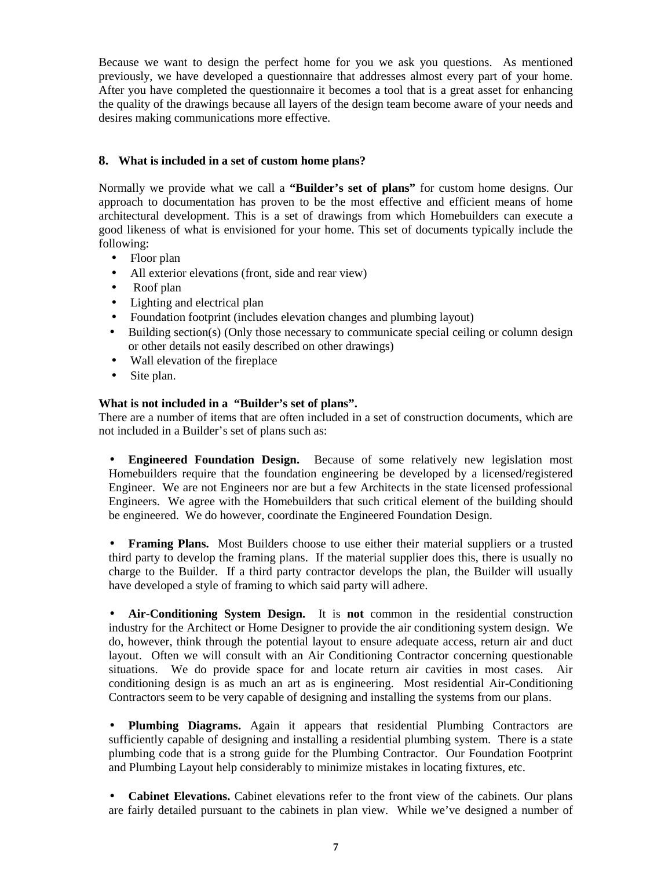Because we want to design the perfect home for you we ask you questions. As mentioned previously, we have developed a questionnaire that addresses almost every part of your home. After you have completed the questionnaire it becomes a tool that is a great asset for enhancing the quality of the drawings because all layers of the design team become aware of your needs and desires making communications more effective.

## **8. What is included in a set of custom home plans?**

Normally we provide what we call a **"Builder's set of plans"** for custom home designs. Our approach to documentation has proven to be the most effective and efficient means of home architectural development. This is a set of drawings from which Homebuilders can execute a good likeness of what is envisioned for your home. This set of documents typically include the following:

- Floor plan
- All exterior elevations (front, side and rear view)
- Roof plan
- Lighting and electrical plan
- Foundation footprint (includes elevation changes and plumbing layout)
- Building section(s) (Only those necessary to communicate special ceiling or column design or other details not easily described on other drawings)
- Wall elevation of the fireplace
- Site plan.

## **What is not included in a "Builder's set of plans".**

There are a number of items that are often included in a set of construction documents, which are not included in a Builder's set of plans such as:

• **Engineered Foundation Design.** Because of some relatively new legislation most Homebuilders require that the foundation engineering be developed by a licensed/registered Engineer. We are not Engineers nor are but a few Architects in the state licensed professional Engineers. We agree with the Homebuilders that such critical element of the building should be engineered. We do however, coordinate the Engineered Foundation Design.

• **Framing Plans.** Most Builders choose to use either their material suppliers or a trusted third party to develop the framing plans. If the material supplier does this, there is usually no charge to the Builder. If a third party contractor develops the plan, the Builder will usually have developed a style of framing to which said party will adhere.

• **Air-Conditioning System Design.** It is **not** common in the residential construction industry for the Architect or Home Designer to provide the air conditioning system design. We do, however, think through the potential layout to ensure adequate access, return air and duct layout. Often we will consult with an Air Conditioning Contractor concerning questionable situations. We do provide space for and locate return air cavities in most cases. Air conditioning design is as much an art as is engineering. Most residential Air-Conditioning Contractors seem to be very capable of designing and installing the systems from our plans.

• **Plumbing Diagrams.** Again it appears that residential Plumbing Contractors are sufficiently capable of designing and installing a residential plumbing system. There is a state plumbing code that is a strong guide for the Plumbing Contractor. Our Foundation Footprint and Plumbing Layout help considerably to minimize mistakes in locating fixtures, etc.

• **Cabinet Elevations.** Cabinet elevations refer to the front view of the cabinets. Our plans are fairly detailed pursuant to the cabinets in plan view. While we've designed a number of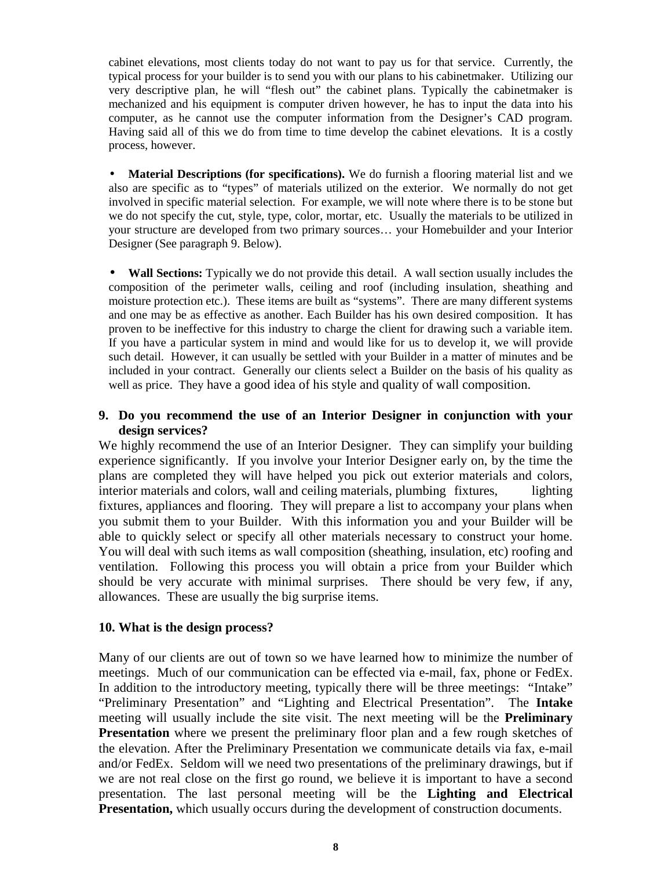cabinet elevations, most clients today do not want to pay us for that service. Currently, the typical process for your builder is to send you with our plans to his cabinetmaker. Utilizing our very descriptive plan, he will "flesh out" the cabinet plans. Typically the cabinetmaker is mechanized and his equipment is computer driven however, he has to input the data into his computer, as he cannot use the computer information from the Designer's CAD program. Having said all of this we do from time to time develop the cabinet elevations. It is a costly process, however.

**Material Descriptions (for specifications).** We do furnish a flooring material list and we also are specific as to "types" of materials utilized on the exterior. We normally do not get involved in specific material selection. For example, we will note where there is to be stone but we do not specify the cut, style, type, color, mortar, etc. Usually the materials to be utilized in your structure are developed from two primary sources… your Homebuilder and your Interior Designer (See paragraph 9. Below).

• **Wall Sections:** Typically we do not provide this detail. A wall section usually includes the composition of the perimeter walls, ceiling and roof (including insulation, sheathing and moisture protection etc.). These items are built as "systems". There are many different systems and one may be as effective as another. Each Builder has his own desired composition. It has proven to be ineffective for this industry to charge the client for drawing such a variable item. If you have a particular system in mind and would like for us to develop it, we will provide such detail. However, it can usually be settled with your Builder in a matter of minutes and be included in your contract. Generally our clients select a Builder on the basis of his quality as well as price. They have a good idea of his style and quality of wall composition.

## **9. Do you recommend the use of an Interior Designer in conjunction with your design services?**

We highly recommend the use of an Interior Designer. They can simplify your building experience significantly. If you involve your Interior Designer early on, by the time the plans are completed they will have helped you pick out exterior materials and colors, interior materials and colors, wall and ceiling materials, plumbing fixtures, lighting fixtures, appliances and flooring. They will prepare a list to accompany your plans when you submit them to your Builder. With this information you and your Builder will be able to quickly select or specify all other materials necessary to construct your home. You will deal with such items as wall composition (sheathing, insulation, etc) roofing and ventilation. Following this process you will obtain a price from your Builder which should be very accurate with minimal surprises. There should be very few, if any, allowances. These are usually the big surprise items.

## **10. What is the design process?**

Many of our clients are out of town so we have learned how to minimize the number of meetings. Much of our communication can be effected via e-mail, fax, phone or FedEx. In addition to the introductory meeting, typically there will be three meetings: "Intake" "Preliminary Presentation" and "Lighting and Electrical Presentation". The **Intake**  meeting will usually include the site visit. The next meeting will be the **Preliminary Presentation** where we present the preliminary floor plan and a few rough sketches of the elevation. After the Preliminary Presentation we communicate details via fax, e-mail and/or FedEx. Seldom will we need two presentations of the preliminary drawings, but if we are not real close on the first go round, we believe it is important to have a second presentation. The last personal meeting will be the **Lighting and Electrical Presentation,** which usually occurs during the development of construction documents.